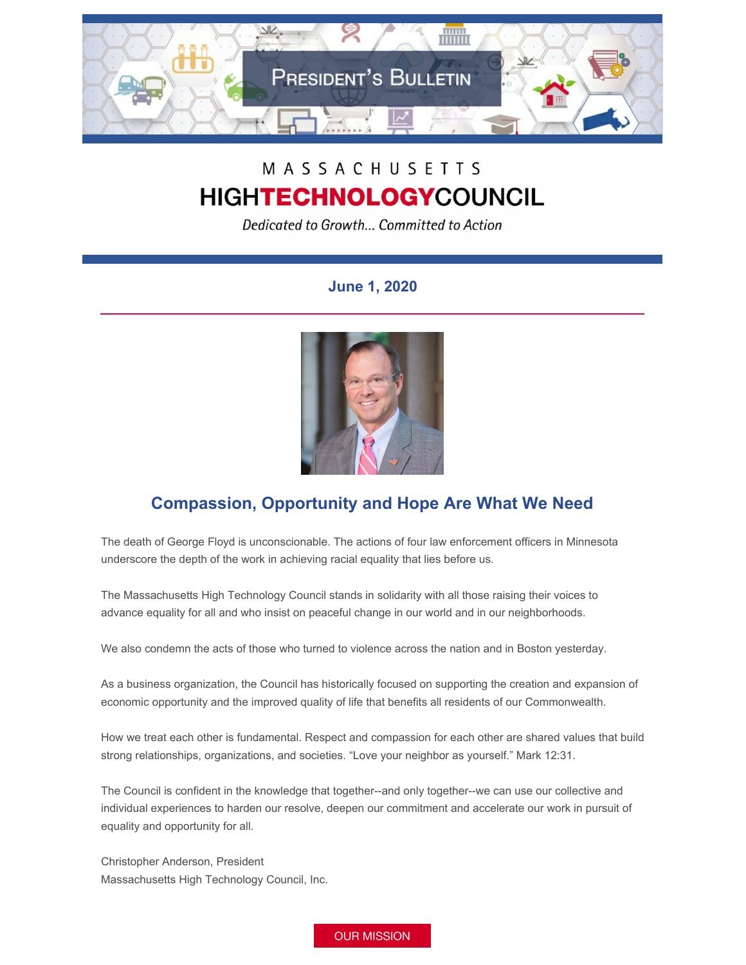

## MASSACHUSETTS **HIGHTECHNOLOGYCOUNCIL**

Dedicated to Growth... Committed to Action

## **June 1, 2020**



## **Compassion, Opportunity and Hope Are What We Need**

The death of George Floyd is unconscionable. The actions of four law enforcement officers in Minnesota underscore the depth of the work in achieving racial equality that lies before us.

The Massachusetts High Technology Council stands in solidarity with all those raising their voices to advance equality for all and who insist on peaceful change in our world and in our neighborhoods.

We also condemn the acts of those who turned to violence across the nation and in Boston yesterday.

As a business organization, the Council has historically focused on supporting the creation and expansion of economic opportunity and the improved quality of life that benefits all residents of our Commonwealth.

How we treat each other is fundamental. Respect and compassion for each other are shared values that build strong relationships, organizations, and societies. "Love your neighbor as yourself." Mark 12:31.

The Council is confident in the knowledge that together--and only together--we can use our collective and individual experiences to harden our resolve, deepen our commitment and accelerate our work in pursuit of equality and opportunity for all.

Christopher Anderson, President Massachusetts High Technology Council, Inc.

**OUR MISSION**